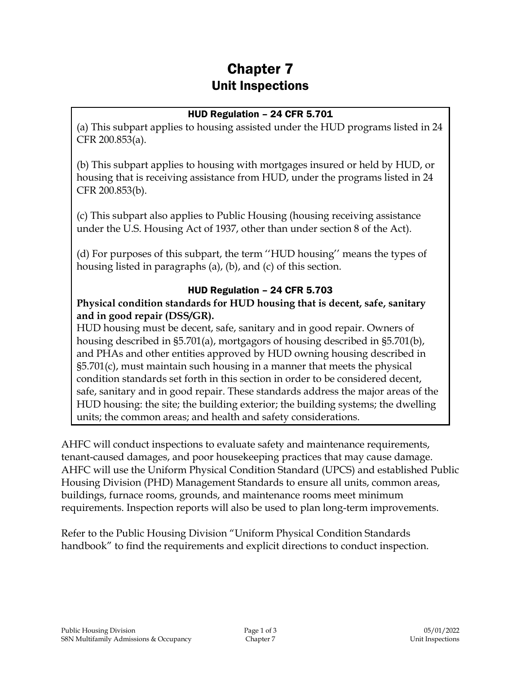# Chapter 7 Unit Inspections

#### HUD Regulation – 24 CFR 5.701

(a) This subpart applies to housing assisted under the HUD programs listed in 24 CFR 200.853(a).

(b) This subpart applies to housing with mortgages insured or held by HUD, or housing that is receiving assistance from HUD, under the programs listed in 24 CFR 200.853(b).

(c) This subpart also applies to Public Housing (housing receiving assistance under the U.S. Housing Act of 1937, other than under section 8 of the Act).

(d) For purposes of this subpart, the term ''HUD housing'' means the types of housing listed in paragraphs (a), (b), and (c) of this section.

#### HUD Regulation – 24 CFR 5.703

**Physical condition standards for HUD housing that is decent, safe, sanitary and in good repair (DSS/GR).**

HUD housing must be decent, safe, sanitary and in good repair. Owners of housing described in §5.701(a), mortgagors of housing described in §5.701(b), and PHAs and other entities approved by HUD owning housing described in §5.701(c), must maintain such housing in a manner that meets the physical condition standards set forth in this section in order to be considered decent, safe, sanitary and in good repair. These standards address the major areas of the HUD housing: the site; the building exterior; the building systems; the dwelling units; the common areas; and health and safety considerations.

AHFC will conduct inspections to evaluate safety and maintenance requirements, tenant-caused damages, and poor housekeeping practices that may cause damage. AHFC will use the Uniform Physical Condition Standard (UPCS) and established Public Housing Division (PHD) Management Standards to ensure all units, common areas, buildings, furnace rooms, grounds, and maintenance rooms meet minimum requirements. Inspection reports will also be used to plan long-term improvements.

Refer to the Public Housing Division "Uniform Physical Condition Standards handbook" to find the requirements and explicit directions to conduct inspection.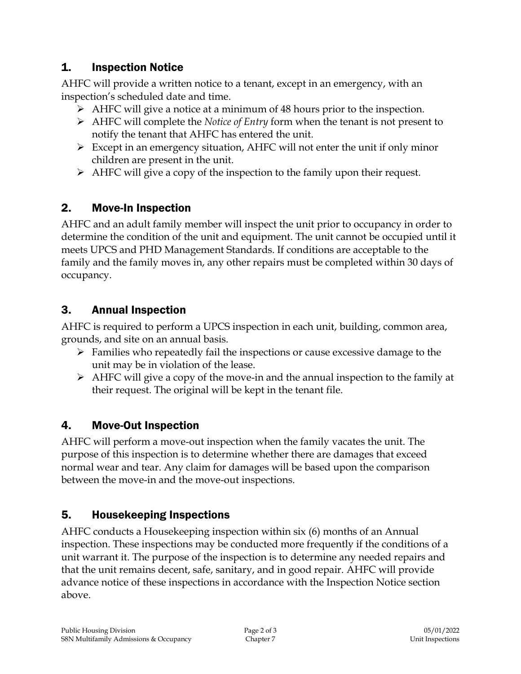### 1. Inspection Notice

AHFC will provide a written notice to a tenant, except in an emergency, with an inspection's scheduled date and time.

- AHFC will give a notice at a minimum of 48 hours prior to the inspection.
- AHFC will complete the *Notice of Entry* form when the tenant is not present to notify the tenant that AHFC has entered the unit.
- $\triangleright$  Except in an emergency situation, AHFC will not enter the unit if only minor children are present in the unit.
- $\triangleright$  AHFC will give a copy of the inspection to the family upon their request.

### 2. Move-In Inspection

AHFC and an adult family member will inspect the unit prior to occupancy in order to determine the condition of the unit and equipment. The unit cannot be occupied until it meets UPCS and PHD Management Standards. If conditions are acceptable to the family and the family moves in, any other repairs must be completed within 30 days of occupancy.

### 3. Annual Inspection

AHFC is required to perform a UPCS inspection in each unit, building, common area, grounds, and site on an annual basis.

- $\triangleright$  Families who repeatedly fail the inspections or cause excessive damage to the unit may be in violation of the lease.
- $\triangleright$  AHFC will give a copy of the move-in and the annual inspection to the family at their request. The original will be kept in the tenant file.

# 4. Move-Out Inspection

AHFC will perform a move-out inspection when the family vacates the unit. The purpose of this inspection is to determine whether there are damages that exceed normal wear and tear. Any claim for damages will be based upon the comparison between the move-in and the move-out inspections.

# 5. Housekeeping Inspections

AHFC conducts a Housekeeping inspection within six (6) months of an Annual inspection. These inspections may be conducted more frequently if the conditions of a unit warrant it. The purpose of the inspection is to determine any needed repairs and that the unit remains decent, safe, sanitary, and in good repair. AHFC will provide advance notice of these inspections in accordance with the Inspection Notice section above.